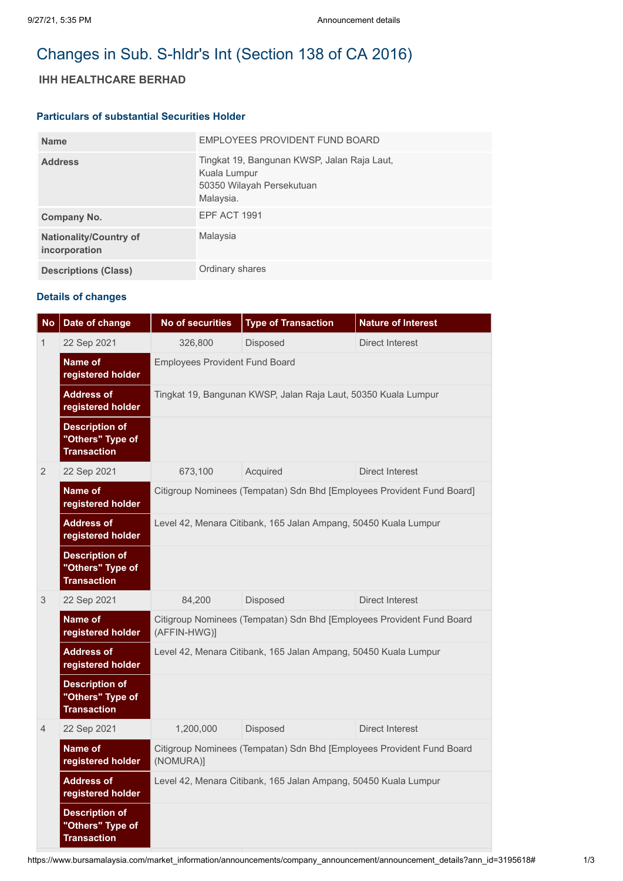# Changes in Sub. S-hldr's Int (Section 138 of CA 2016)

## **IHH HEALTHCARE BERHAD**

#### **Particulars of substantial Securities Holder**

| <b>Name</b>                                    | EMPLOYEES PROVIDENT FUND BOARD                                                                        |
|------------------------------------------------|-------------------------------------------------------------------------------------------------------|
| <b>Address</b>                                 | Tingkat 19, Bangunan KWSP, Jalan Raja Laut,<br>Kuala Lumpur<br>50350 Wilayah Persekutuan<br>Malaysia. |
| Company No.                                    | <b>EPF ACT 1991</b>                                                                                   |
| <b>Nationality/Country of</b><br>incorporation | Malaysia                                                                                              |
| <b>Descriptions (Class)</b>                    | Ordinary shares                                                                                       |

### **Details of changes**

| <b>No</b>      | Date of change                                                  | <b>No of securities</b>                                                               | <b>Type of Transaction</b> | <b>Nature of Interest</b> |  |  |
|----------------|-----------------------------------------------------------------|---------------------------------------------------------------------------------------|----------------------------|---------------------------|--|--|
| 1              | 22 Sep 2021                                                     | 326,800                                                                               | Disposed                   | Direct Interest           |  |  |
|                | Name of<br>registered holder                                    | <b>Employees Provident Fund Board</b>                                                 |                            |                           |  |  |
|                | <b>Address of</b><br>registered holder                          | Tingkat 19, Bangunan KWSP, Jalan Raja Laut, 50350 Kuala Lumpur                        |                            |                           |  |  |
|                | <b>Description of</b><br>"Others" Type of<br><b>Transaction</b> |                                                                                       |                            |                           |  |  |
| $\overline{2}$ | 22 Sep 2021                                                     | 673,100                                                                               | Acquired                   | <b>Direct Interest</b>    |  |  |
|                | Name of<br>registered holder                                    | Citigroup Nominees (Tempatan) Sdn Bhd [Employees Provident Fund Board]                |                            |                           |  |  |
|                | <b>Address of</b><br>registered holder                          | Level 42, Menara Citibank, 165 Jalan Ampang, 50450 Kuala Lumpur                       |                            |                           |  |  |
|                | <b>Description of</b><br>"Others" Type of<br><b>Transaction</b> |                                                                                       |                            |                           |  |  |
| 3              | 22 Sep 2021                                                     | 84,200                                                                                | Disposed                   | Direct Interest           |  |  |
|                | Name of<br>registered holder                                    | Citigroup Nominees (Tempatan) Sdn Bhd [Employees Provident Fund Board<br>(AFFIN-HWG)] |                            |                           |  |  |
|                | <b>Address of</b><br>registered holder                          | Level 42, Menara Citibank, 165 Jalan Ampang, 50450 Kuala Lumpur                       |                            |                           |  |  |
|                | <b>Description of</b><br>"Others" Type of<br><b>Transaction</b> |                                                                                       |                            |                           |  |  |
| $\overline{4}$ | 22 Sep 2021                                                     | 1,200,000                                                                             | Disposed                   | Direct Interest           |  |  |
|                | Name of<br>registered holder                                    | Citigroup Nominees (Tempatan) Sdn Bhd [Employees Provident Fund Board<br>(NOMURA)]    |                            |                           |  |  |
|                | <b>Address of</b><br>registered holder                          | Level 42, Menara Citibank, 165 Jalan Ampang, 50450 Kuala Lumpur                       |                            |                           |  |  |
|                | <b>Description of</b><br>"Others" Type of<br><b>Transaction</b> |                                                                                       |                            |                           |  |  |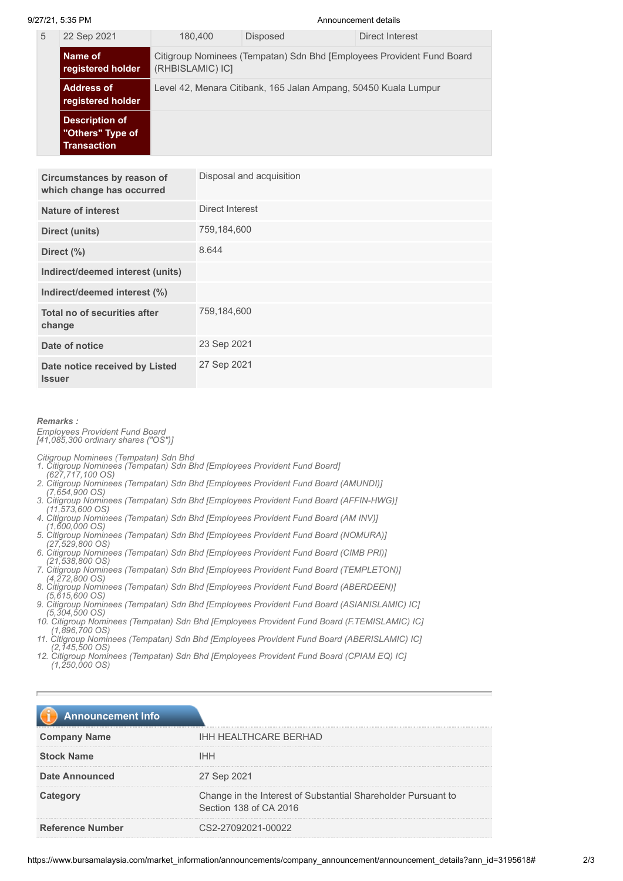9/27/21, 5:35 PM Announcement details

| 5 | 22 Sep 2021                                              | 180.400                                                                                   | <b>Disposed</b> | Direct Interest |
|---|----------------------------------------------------------|-------------------------------------------------------------------------------------------|-----------------|-----------------|
|   | Name of<br>registered holder                             | Citigroup Nominees (Tempatan) Sdn Bhd [Employees Provident Fund Board<br>(RHBISLAMIC) IC] |                 |                 |
|   | <b>Address of</b><br>registered holder                   | Level 42, Menara Citibank, 165 Jalan Ampang, 50450 Kuala Lumpur                           |                 |                 |
|   | Description of<br>"Others" Type of<br><b>Transaction</b> |                                                                                           |                 |                 |

| Circumstances by reason of<br>which change has occurred | Disposal and acquisition |
|---------------------------------------------------------|--------------------------|
| Nature of interest                                      | Direct Interest          |
| Direct (units)                                          | 759,184,600              |
| Direct (%)                                              | 8.644                    |
| Indirect/deemed interest (units)                        |                          |
| Indirect/deemed interest (%)                            |                          |
| Total no of securities after<br>change                  | 759,184,600              |
| Date of notice                                          | 23 Sep 2021              |
| Date notice received by Listed<br><b>Issuer</b>         | 27 Sep 2021              |

#### *Remarks :*

*Employees Provident Fund Board [41,085,300 ordinary shares ("OS")]*

*Citigroup Nominees (Tempatan) Sdn Bhd* 

- *1. Citigroup Nominees (Tempatan) Sdn Bhd [Employees Provident Fund Board]*
- *(627,717,100 OS) 2. Citigroup Nominees (Tempatan) Sdn Bhd [Employees Provident Fund Board (AMUNDI)]*
- *(7,654,900 OS)*
- *3. Citigroup Nominees (Tempatan) Sdn Bhd [Employees Provident Fund Board (AFFIN-HWG)] (11,573,600 OS)*
- *4. Citigroup Nominees (Tempatan) Sdn Bhd [Employees Provident Fund Board (AM INV)] (1,600,000 OS)*
- *5. Citigroup Nominees (Tempatan) Sdn Bhd [Employees Provident Fund Board (NOMURA)]*
- *(27,529,800 OS) 6. Citigroup Nominees (Tempatan) Sdn Bhd [Employees Provident Fund Board (CIMB PRI)]*
- *(21,538,800 OS)*
- *7. Citigroup Nominees (Tempatan) Sdn Bhd [Employees Provident Fund Board (TEMPLETON)]*
- *(4,272,800 OS) 8. Citigroup Nominees (Tempatan) Sdn Bhd [Employees Provident Fund Board (ABERDEEN)]*
- *(5,615,600 OS) 9. Citigroup Nominees (Tempatan) Sdn Bhd [Employees Provident Fund Board (ASIANISLAMIC) IC]*
- *(5,304,500 OS)*
- *10. Citigroup Nominees (Tempatan) Sdn Bhd [Employees Provident Fund Board (F.TEMISLAMIC) IC] (1,896,700 OS)*
- *11. Citigroup Nominees (Tempatan) Sdn Bhd [Employees Provident Fund Board (ABERISLAMIC) IC] (2,145,500 OS)*
- *12. Citigroup Nominees (Tempatan) Sdn Bhd [Employees Provident Fund Board (CPIAM EQ) IC] (1,250,000 OS)*

| <b>Announcement Info</b> |                                                                                         |
|--------------------------|-----------------------------------------------------------------------------------------|
| <b>Company Name</b>      | <b>IHH HEALTHCARE BERHAD</b>                                                            |
| <b>Stock Name</b>        | <b>IHH</b>                                                                              |
| <b>Date Announced</b>    | 27 Sep 2021                                                                             |
| Category                 | Change in the Interest of Substantial Shareholder Pursuant to<br>Section 138 of CA 2016 |
| <b>Reference Number</b>  | CS2-27092021-00022                                                                      |